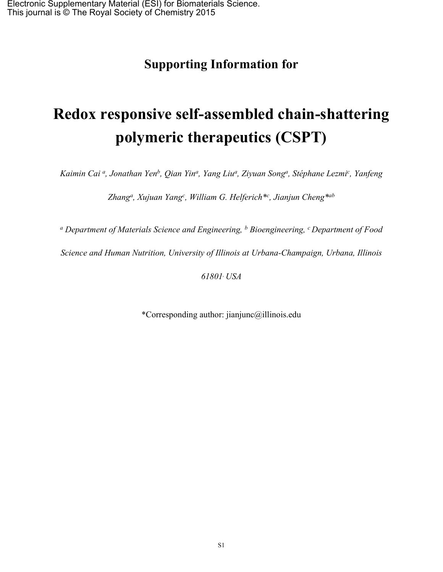## **Supporting Information for**

# **Redox responsive self-assembled chain-shattering polymeric therapeutics (CSPT)**

Kaimin Cai <sup>a</sup>, Jonathan Yen<sup>b</sup>, Qian Yin<sup>a</sup>, Yang Liu<sup>a</sup>, Ziyuan Song<sup>a</sup>, Stéphane Lezmi<sup>c</sup>, Yanfeng

*Zhang<sup>a</sup> , Xujuan Yang<sup>c</sup> , William G. Helferich\*<sup>c</sup> , Jianjun Cheng\*ab*

*<sup>a</sup> Department of Materials Science and Engineering, <sup>b</sup> Bioengineering, <sup>c</sup> Department of Food*

*Science and Human Nutrition, University of Illinois at Urbana-Champaign, Urbana, Illinois*

*61801, USA*

\*Corresponding author: jianjunc@illinois.edu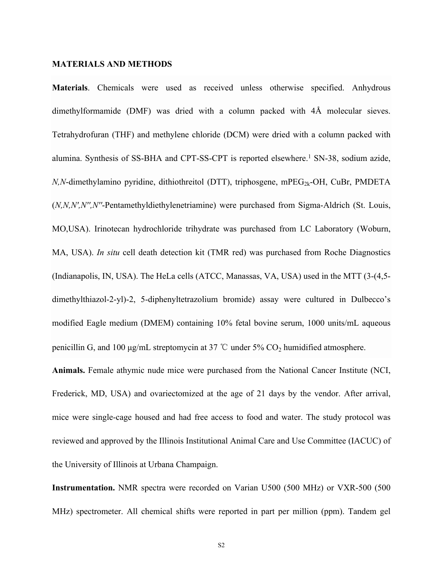#### **MATERIALS AND METHODS**

**Materials**. Chemicals were used as received unless otherwise specified. Anhydrous dimethylformamide (DMF) was dried with a column packed with 4Å molecular sieves. Tetrahydrofuran (THF) and methylene chloride (DCM) were dried with a column packed with alumina. Synthesis of SS-BHA and CPT-SS-CPT is reported elsewhere.<sup>1</sup> SN-38, sodium azide,  $N$ , $N$ -dimethylamino pyridine, dithiothreitol (DTT), triphosgene, mPEG<sub>2k</sub>-OH, CuBr, PMDETA (*N,N,N′,N′′,N′′*-Pentamethyldiethylenetriamine) were purchased from Sigma-Aldrich (St. Louis, MO,USA). Irinotecan hydrochloride trihydrate was purchased from LC Laboratory (Woburn, MA, USA). *In situ* cell death detection kit (TMR red) was purchased from Roche Diagnostics (Indianapolis, IN, USA). The HeLa cells (ATCC, Manassas, VA, USA) used in the MTT (3-(4,5 dimethylthiazol-2-yl)-2, 5-diphenyltetrazolium bromide) assay were cultured in Dulbecco's modified Eagle medium (DMEM) containing 10% fetal bovine serum, 1000 units/mL aqueous penicillin G, and 100 μg/mL streptomycin at 37 °C under 5%  $CO<sub>2</sub>$  humidified atmosphere.

**Animals.** Female athymic nude mice were purchased from the National Cancer Institute (NCI, Frederick, MD, USA) and ovariectomized at the age of 21 days by the vendor. After arrival, mice were single-cage housed and had free access to food and water. The study protocol was reviewed and approved by the Illinois Institutional Animal Care and Use Committee (IACUC) of the University of Illinois at Urbana Champaign.

**Instrumentation.** NMR spectra were recorded on Varian U500 (500 MHz) or VXR-500 (500 MHz) spectrometer. All chemical shifts were reported in part per million (ppm). Tandem gel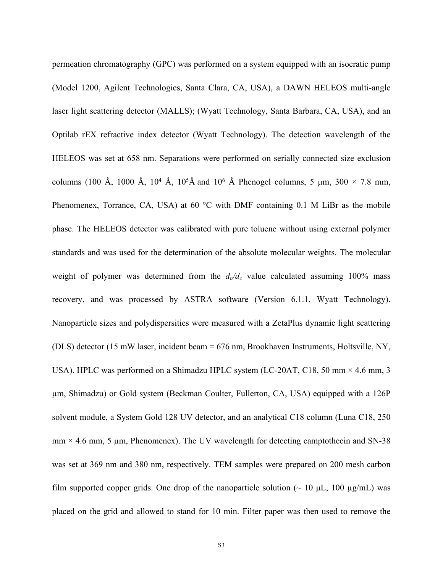permeation chromatography (GPC) was performed on a system equipped with an isocratic pump (Model 1200, Agilent Technologies, Santa Clara, CA, USA), a DAWN HELEOS multi-angle laser light scattering detector (MALLS); (Wyatt Technology, Santa Barbara, CA, USA), and an Optilab rEX refractive index detector (Wyatt Technology). The detection wavelength of the HELEOS was set at 658 nm. Separations were performed on serially connected size exclusion columns (100 Å, 1000 Å,  $10^4$  Å,  $10^5$ Å and  $10^6$  Å Phenogel columns, 5  $\mu$ m,  $300 \times 7.8$  mm, Phenomenex, Torrance, CA, USA) at 60 °C with DMF containing 0.1 M LiBr as the mobile phase. The HELEOS detector was calibrated with pure toluene without using external polymer standards and was used for the determination of the absolute molecular weights. The molecular weight of polymer was determined from the  $d_n/d_c$  value calculated assuming 100% mass recovery, and was processed by ASTRA software (Version 6.1.1, Wyatt Technology). Nanoparticle sizes and polydispersities were measured with a ZetaPlus dynamic light scattering (DLS) detector (15 mW laser, incident beam = 676 nm, Brookhaven Instruments, Holtsville, NY, USA). HPLC was performed on a Shimadzu HPLC system (LC-20AT, C18, 50 mm × 4.6 mm, 3 µm, Shimadzu) or Gold system (Beckman Coulter, Fullerton, CA, USA) equipped with a 126P solvent module, a System Gold 128 UV detector, and an analytical C18 column (Luna C18, 250  $mm \times 4.6$  mm, 5 µm, Phenomenex). The UV wavelength for detecting camptothecin and SN-38 was set at 369 nm and 380 nm, respectively. TEM samples were prepared on 200 mesh carbon film supported copper grids. One drop of the nanoparticle solution ( $\sim 10 \mu L$ , 100  $\mu$ g/mL) was placed on the grid and allowed to stand for 10 min. Filter paper was then used to remove the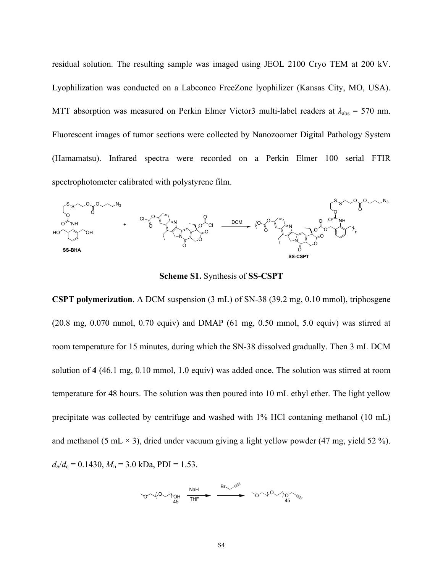residual solution. The resulting sample was imaged using JEOL 2100 Cryo TEM at 200 kV. Lyophilization was conducted on a Labconco FreeZone lyophilizer (Kansas City, MO, USA). MTT absorption was measured on Perkin Elmer Victor3 multi-label readers at  $\lambda_{\text{abs}} = 570$  nm. Fluorescent images of tumor sections were collected by Nanozoomer Digital Pathology System (Hamamatsu). Infrared spectra were recorded on a Perkin Elmer 100 serial FTIR spectrophotometer calibrated with polystyrene film.



**Scheme S1.** Synthesis of **SS-CSPT**

**CSPT polymerization**. A DCM suspension (3 mL) of SN-38 (39.2 mg, 0.10 mmol), triphosgene (20.8 mg, 0.070 mmol, 0.70 equiv) and DMAP (61 mg, 0.50 mmol, 5.0 equiv) was stirred at room temperature for 15 minutes, during which the SN-38 dissolved gradually. Then 3 mL DCM solution of **4** (46.1 mg, 0.10 mmol, 1.0 equiv) was added once. The solution was stirred at room temperature for 48 hours. The solution was then poured into 10 mL ethyl ether. The light yellow precipitate was collected by centrifuge and washed with 1% HCl contaning methanol (10 mL) and methanol (5 mL  $\times$  3), dried under vacuum giving a light yellow powder (47 mg, yield 52 %).  $d_n/d_c = 0.1430$ ,  $M_n = 3.0$  kDa, PDI = 1.53.

$$
\text{Cov}(0) \text{O}_{45} \quad \text{Nah} \quad \text{Sov}(0) \text{O}_{45} \quad \text{Sov}(0) \text{O}_{45}
$$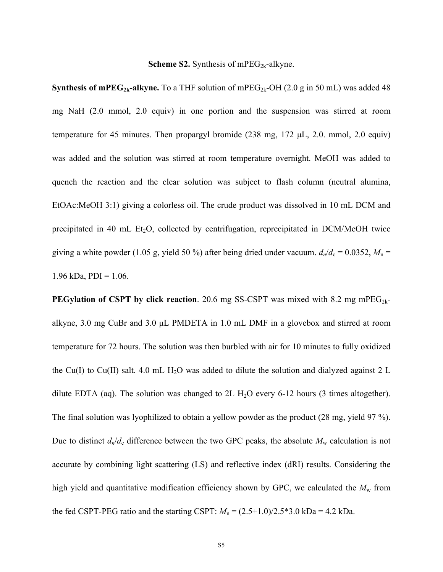#### **Scheme S2.** Synthesis of mPEG<sub>2k</sub>-alkyne.

**Synthesis of mPEG<sub>2k</sub>-alkyne.** To a THF solution of mPEG<sub>2k</sub>-OH (2.0 g in 50 mL) was added 48 mg NaH (2.0 mmol, 2.0 equiv) in one portion and the suspension was stirred at room temperature for 45 minutes. Then propargyl bromide (238 mg, 172 μL, 2.0. mmol, 2.0 equiv) was added and the solution was stirred at room temperature overnight. MeOH was added to quench the reaction and the clear solution was subject to flash column (neutral alumina, EtOAc:MeOH 3:1) giving a colorless oil. The crude product was dissolved in 10 mL DCM and precipitated in 40 mL  $Et_2O$ , collected by centrifugation, reprecipitated in DCM/MeOH twice giving a white powder (1.05 g, yield 50 %) after being dried under vacuum.  $d_n/d_c = 0.0352$ ,  $M_n =$ 1.96 kDa,  $PDI = 1.06$ .

**PEGylation of CSPT by click reaction.** 20.6 mg SS-CSPT was mixed with 8.2 mg mPEG<sub>2k</sub>alkyne, 3.0 mg CuBr and 3.0 μL PMDETA in 1.0 mL DMF in a glovebox and stirred at room temperature for 72 hours. The solution was then burbled with air for 10 minutes to fully oxidized the Cu(I) to Cu(II) salt. 4.0 mL H<sub>2</sub>O was added to dilute the solution and dialyzed against 2 L dilute EDTA (aq). The solution was changed to  $2L H<sub>2</sub>O$  every 6-12 hours (3 times altogether). The final solution was lyophilized to obtain a yellow powder as the product (28 mg, yield 97 %). Due to distinct  $d_n/d_c$  difference between the two GPC peaks, the absolute  $M_w$  calculation is not accurate by combining light scattering (LS) and reflective index (dRI) results. Considering the high yield and quantitative modification efficiency shown by GPC, we calculated the  $M_w$  from the fed CSPT-PEG ratio and the starting CSPT:  $M_n = (2.5+1.0)/2.5*3.0 \text{ kDa} = 4.2 \text{ kDa}$ .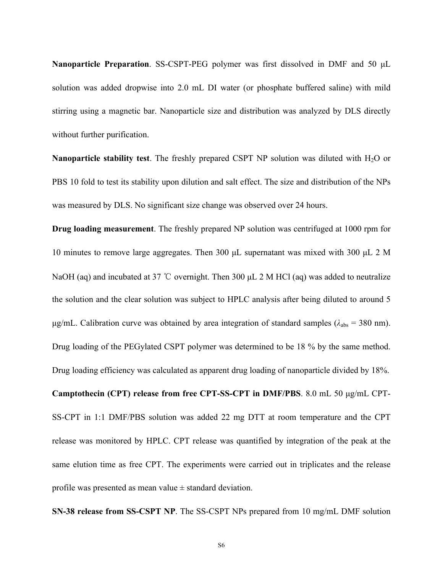**Nanoparticle Preparation**. SS-CSPT-PEG polymer was first dissolved in DMF and 50 μL solution was added dropwise into 2.0 mL DI water (or phosphate buffered saline) with mild stirring using a magnetic bar. Nanoparticle size and distribution was analyzed by DLS directly without further purification.

**Nanoparticle stability test**. The freshly prepared CSPT NP solution was diluted with H<sub>2</sub>O or PBS 10 fold to test its stability upon dilution and salt effect. The size and distribution of the NPs was measured by DLS. No significant size change was observed over 24 hours.

**Drug loading measurement**. The freshly prepared NP solution was centrifuged at 1000 rpm for 10 minutes to remove large aggregates. Then 300 μL supernatant was mixed with 300 μL 2 M NaOH (aq) and incubated at 37 °C overnight. Then 300 μL 2 M HCl (aq) was added to neutralize the solution and the clear solution was subject to HPLC analysis after being diluted to around 5 μg/mL. Calibration curve was obtained by area integration of standard samples ( $λ<sub>abs</sub> = 380$  nm). Drug loading of the PEGylated CSPT polymer was determined to be 18 % by the same method. Drug loading efficiency was calculated as apparent drug loading of nanoparticle divided by 18%. **Camptothecin (CPT) release from free CPT-SS-CPT in DMF/PBS**. 8.0 mL 50 μg/mL CPT-SS-CPT in 1:1 DMF/PBS solution was added 22 mg DTT at room temperature and the CPT release was monitored by HPLC. CPT release was quantified by integration of the peak at the same elution time as free CPT. The experiments were carried out in triplicates and the release profile was presented as mean value  $\pm$  standard deviation.

**SN-38 release from SS-CSPT NP**. The SS-CSPT NPs prepared from 10 mg/mL DMF solution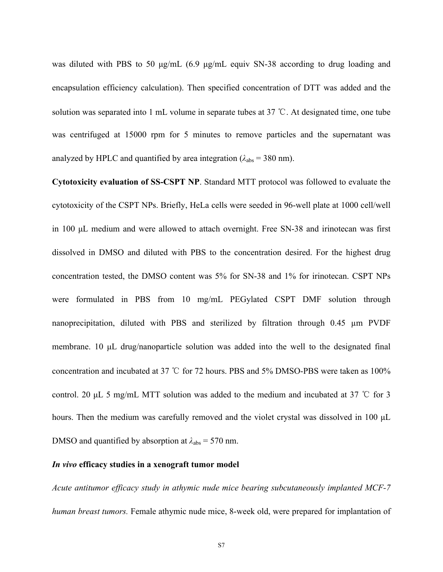was diluted with PBS to 50 μg/mL (6.9 μg/mL equiv SN-38 according to drug loading and encapsulation efficiency calculation). Then specified concentration of DTT was added and the solution was separated into 1 mL volume in separate tubes at 37 ℃. At designated time, one tube was centrifuged at 15000 rpm for 5 minutes to remove particles and the supernatant was analyzed by HPLC and quantified by area integration  $(\lambda_{abs} = 380 \text{ nm})$ .

**Cytotoxicity evaluation of SS-CSPT NP**. Standard MTT protocol was followed to evaluate the cytotoxicity of the CSPT NPs. Briefly, HeLa cells were seeded in 96-well plate at 1000 cell/well in 100 μL medium and were allowed to attach overnight. Free SN-38 and irinotecan was first dissolved in DMSO and diluted with PBS to the concentration desired. For the highest drug concentration tested, the DMSO content was 5% for SN-38 and 1% for irinotecan. CSPT NPs were formulated in PBS from 10 mg/mL PEGylated CSPT DMF solution through nanoprecipitation, diluted with PBS and sterilized by filtration through 0.45 µm PVDF membrane. 10 μL drug/nanoparticle solution was added into the well to the designated final concentration and incubated at 37 ℃ for 72 hours. PBS and 5% DMSO-PBS were taken as 100% control. 20 μL 5 mg/mL MTT solution was added to the medium and incubated at 37 ℃ for 3 hours. Then the medium was carefully removed and the violet crystal was dissolved in 100 μL DMSO and quantified by absorption at  $\lambda_{\text{abs}} = 570$  nm.

#### *In vivo* **efficacy studies in a xenograft tumor model**

*Acute antitumor efficacy study in athymic nude mice bearing subcutaneously implanted MCF-7 human breast tumors.* Female athymic nude mice, 8-week old, were prepared for implantation of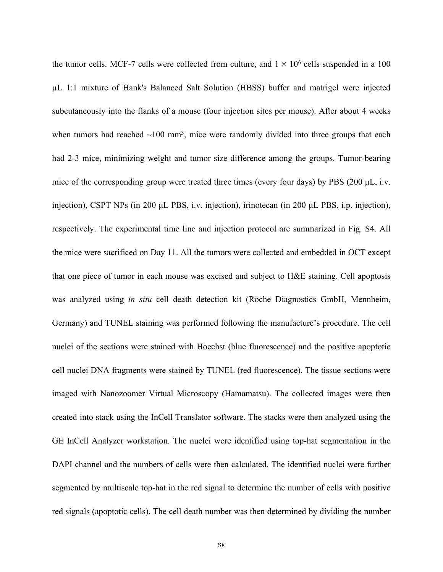the tumor cells. MCF-7 cells were collected from culture, and  $1 \times 10^6$  cells suspended in a 100 µL 1:1 mixture of Hank's Balanced Salt Solution (HBSS) buffer and matrigel were injected subcutaneously into the flanks of a mouse (four injection sites per mouse). After about 4 weeks when tumors had reached  $\sim 100$  mm<sup>3</sup>, mice were randomly divided into three groups that each had 2-3 mice, minimizing weight and tumor size difference among the groups. Tumor-bearing mice of the corresponding group were treated three times (every four days) by PBS (200 μL, i.v. injection), CSPT NPs (in 200 μL PBS, i.v. injection), irinotecan (in 200 μL PBS, i.p. injection), respectively. The experimental time line and injection protocol are summarized in Fig. S4. All the mice were sacrificed on Day 11. All the tumors were collected and embedded in OCT except that one piece of tumor in each mouse was excised and subject to H&E staining. Cell apoptosis was analyzed using *in situ* cell death detection kit (Roche Diagnostics GmbH, Mennheim, Germany) and TUNEL staining was performed following the manufacture's procedure. The cell nuclei of the sections were stained with Hoechst (blue fluorescence) and the positive apoptotic cell nuclei DNA fragments were stained by TUNEL (red fluorescence). The tissue sections were imaged with Nanozoomer Virtual Microscopy (Hamamatsu). The collected images were then created into stack using the InCell Translator software. The stacks were then analyzed using the GE InCell Analyzer workstation. The nuclei were identified using top-hat segmentation in the DAPI channel and the numbers of cells were then calculated. The identified nuclei were further segmented by multiscale top-hat in the red signal to determine the number of cells with positive red signals (apoptotic cells). The cell death number was then determined by dividing the number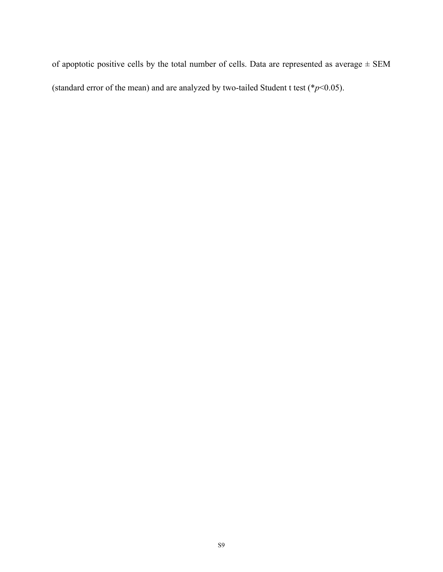of apoptotic positive cells by the total number of cells. Data are represented as average  $\pm$  SEM (standard error of the mean) and are analyzed by two-tailed Student t test ( $\frac{*p}{0.05}$ ).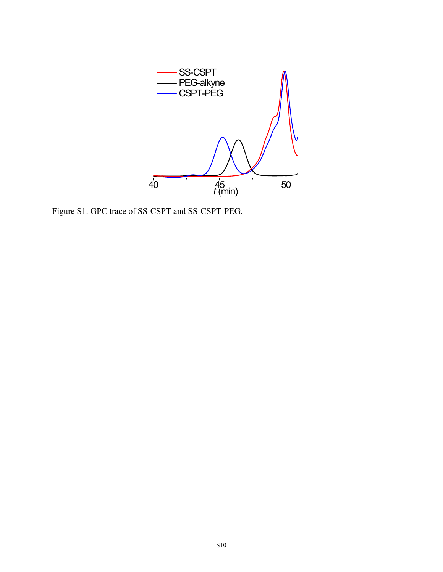

Figure S1. GPC trace of SS-CSPT and SS-CSPT-PEG.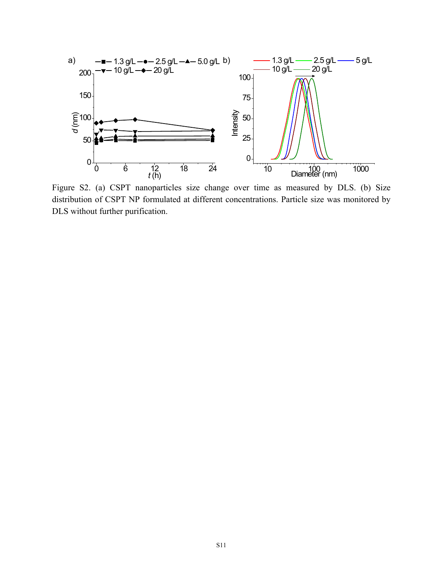

Figure S2. (a) CSPT nanoparticles size change over time as measured by DLS. (b) Size distribution of CSPT NP formulated at different concentrations. Particle size was monitored by DLS without further purification.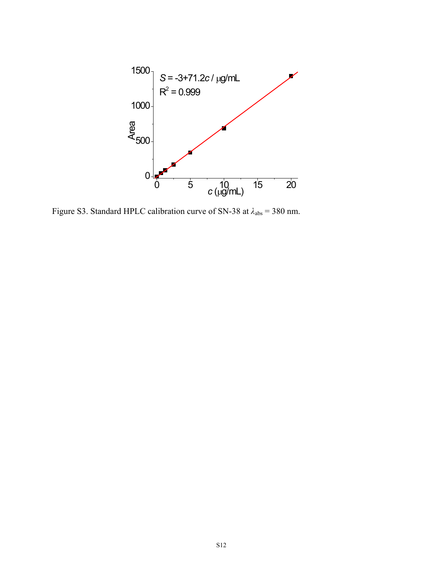

Figure S3. Standard HPLC calibration curve of SN-38 at *λ*abs = 380 nm.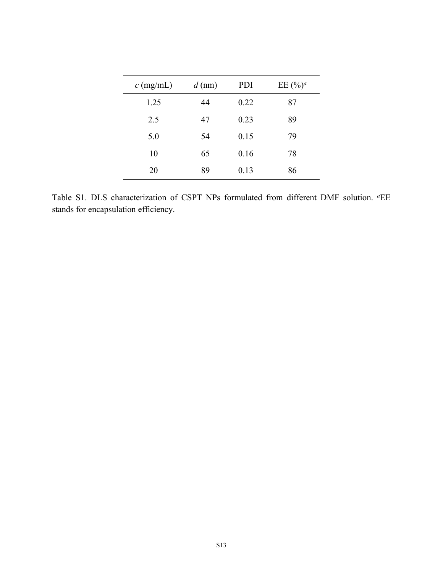| $c$ (mg/mL) | $d$ (nm) | PDI  | EE $(\frac{6}{9})^a$ |
|-------------|----------|------|----------------------|
| 1.25        | 44       | 0.22 | 87                   |
| 2.5         | 47       | 0.23 | 89                   |
| 5.0         | 54       | 0.15 | 79                   |
| 10          | 65       | 0.16 | 78                   |
| 20          | 89       | 0.13 | 86                   |

Table S1. DLS characterization of CSPT NPs formulated from different DMF solution. <sup>a</sup>EE stands for encapsulation efficiency.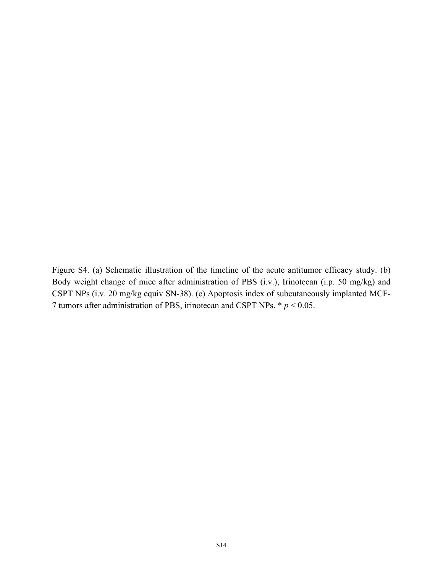Figure S4. (a) Schematic illustration of the timeline of the acute antitumor efficacy study. (b) Body weight change of mice after administration of PBS (i.v.), Irinotecan (i.p. 50 mg/kg) and CSPT NPs (i.v. 20 mg/kg equiv SN-38). (c) Apoptosis index of subcutaneously implanted MCF-7 tumors after administration of PBS, irinotecan and CSPT NPs. \* *p* < 0.05.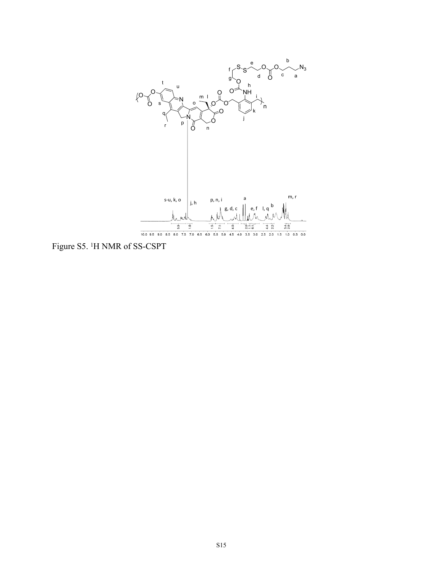

Figure S5. <sup>1</sup>H NMR of SS-CSPT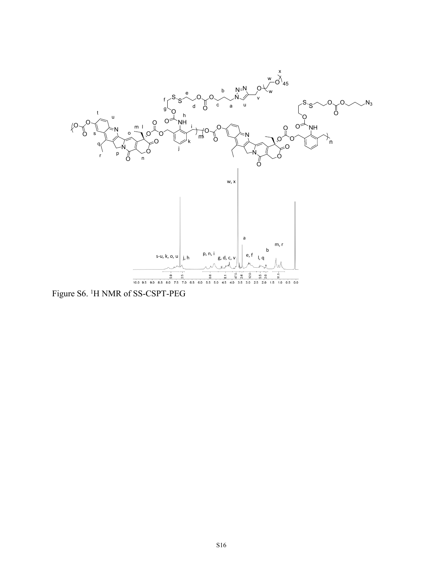

Figure S6. <sup>1</sup>H NMR of SS-CSPT-PEG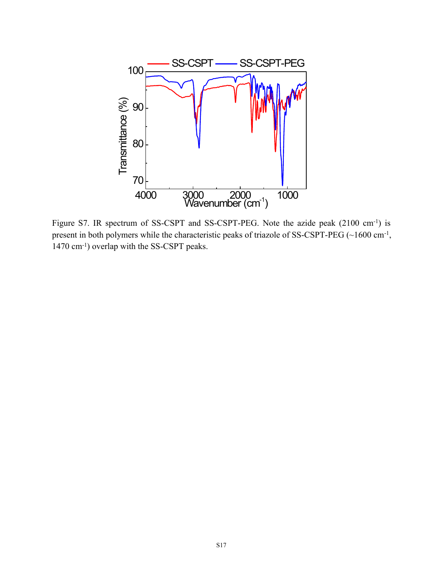

Figure S7. IR spectrum of SS-CSPT and SS-CSPT-PEG. Note the azide peak (2100 cm<sup>-1</sup>) is present in both polymers while the characteristic peaks of triazole of SS-CSPT-PEG (~1600 cm<sup>-1</sup>, 1470 cm-1) overlap with the SS-CSPT peaks.